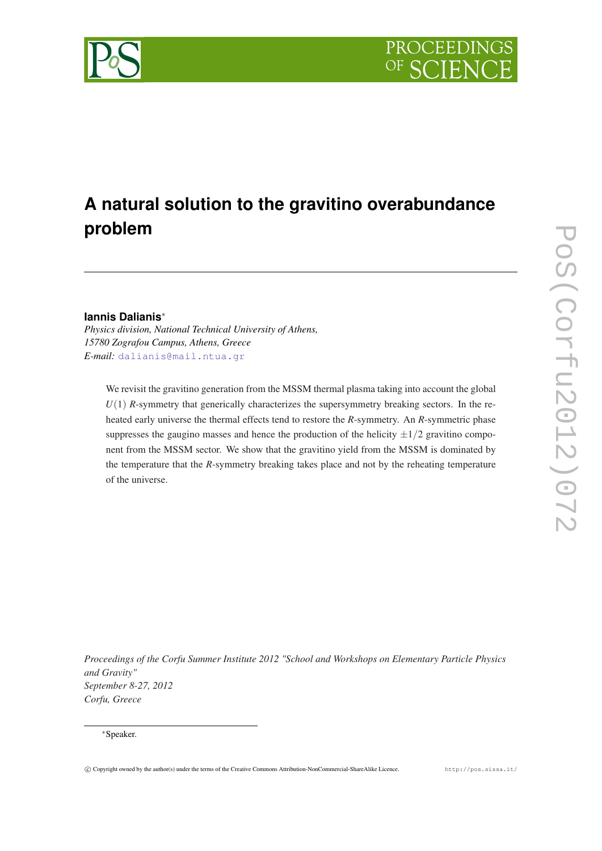



# **A natural solution to the gravitino overabundance problem**

# **Iannis Dalianis**<sup>∗</sup>

*Physics division, National Technical University of Athens, 15780 Zografou Campus, Athens, Greece E-mail:* [dalianis@mail.ntua.gr](mailto:dalianis@mail.ntua.gr )

We revisit the gravitino generation from the MSSM thermal plasma taking into account the global  $U(1)$  *R*-symmetry that generically characterizes the supersymmetry breaking sectors. In the reheated early universe the thermal effects tend to restore the *R*-symmetry. An *R*-symmetric phase suppresses the gaugino masses and hence the production of the helicity  $\pm 1/2$  gravitino component from the MSSM sector. We show that the gravitino yield from the MSSM is dominated by the temperature that the *R*-symmetry breaking takes place and not by the reheating temperature of the universe.

*Proceedings of the Corfu Summer Institute 2012 "School and Workshops on Elementary Particle Physics and Gravity" September 8-27, 2012 Corfu, Greece*

## <sup>∗</sup>Speaker.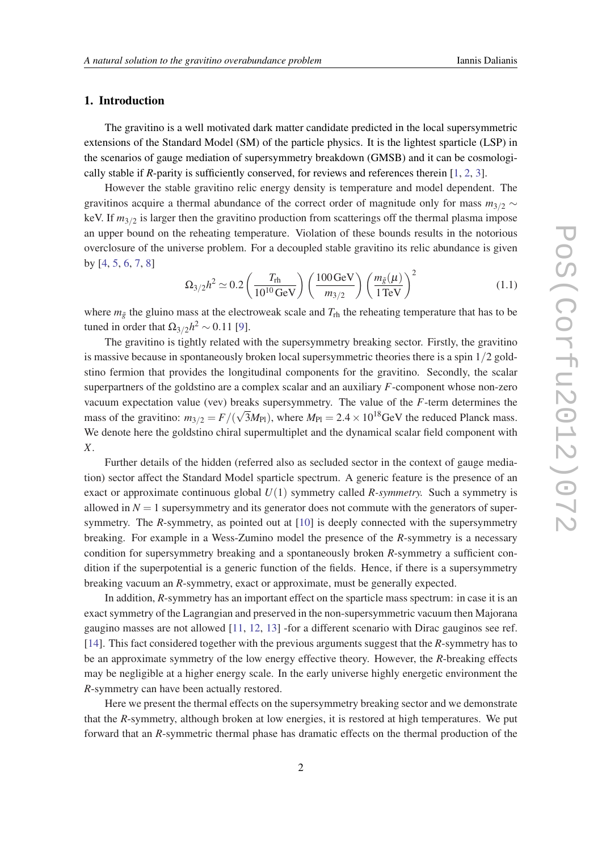# <span id="page-1-0"></span>1. Introduction

The gravitino is a well motivated dark matter candidate predicted in the local supersymmetric extensions of the Standard Model (SM) of the particle physics. It is the lightest sparticle (LSP) in the scenarios of gauge mediation of supersymmetry breakdown (GMSB) and it can be cosmologically stable if *R*-parity is sufficiently conserved, for reviews and references therein [[1](#page-11-0), [2,](#page-11-0) [3\]](#page-11-0).

However the stable gravitino relic energy density is temperature and model dependent. The gravitinos acquire a thermal abundance of the correct order of magnitude only for mass *m*3/<sup>2</sup> ∼ keV. If  $m_{3/2}$  is larger then the gravitino production from scatterings off the thermal plasma impose an upper bound on the reheating temperature. Violation of these bounds results in the notorious overclosure of the universe problem. For a decoupled stable gravitino its relic abundance is given by [[4](#page-11-0), [5,](#page-11-0) [6,](#page-11-0) [7,](#page-11-0) [8\]](#page-11-0)

$$
\Omega_{3/2} h^2 \simeq 0.2 \left( \frac{T_{\text{rh}}}{10^{10} \,\text{GeV}} \right) \left( \frac{100 \,\text{GeV}}{m_{3/2}} \right) \left( \frac{m_{\tilde{g}}(\mu)}{1 \,\text{TeV}} \right)^2 \tag{1.1}
$$

where  $m_{\tilde{g}}$  the gluino mass at the electroweak scale and  $T_{\text{rh}}$  the reheating temperature that has to be tuned in order that  $\Omega_{3/2}h^2 \sim 0.11$  [\[9\]](#page-11-0).

The gravitino is tightly related with the supersymmetry breaking sector. Firstly, the gravitino is massive because in spontaneously broken local supersymmetric theories there is a spin 1/2 goldstino fermion that provides the longitudinal components for the gravitino. Secondly, the scalar superpartners of the goldstino are a complex scalar and an auxiliary *F*-component whose non-zero vacuum expectation value (vev) breaks supersymmetry. The value of the *F*-term determines the mass of the gravitino:  $m_{3/2} = F/($  $\sqrt{3}M_{\text{Pl}}$ ), where  $M_{\text{Pl}} = 2.4 \times 10^{18}$  GeV the reduced Planck mass. We denote here the goldstino chiral supermultiplet and the dynamical scalar field component with *X*.

Further details of the hidden (referred also as secluded sector in the context of gauge mediation) sector affect the Standard Model sparticle spectrum. A generic feature is the presence of an exact or approximate continuous global *U*(1) symmetry called *R-symmetry.* Such a symmetry is allowed in  $N = 1$  supersymmetry and its generator does not commute with the generators of supersymmetry. The *R*-symmetry, as pointed out at [[10\]](#page-11-0) is deeply connected with the supersymmetry breaking. For example in a Wess-Zumino model the presence of the *R*-symmetry is a necessary condition for supersymmetry breaking and a spontaneously broken *R*-symmetry a sufficient condition if the superpotential is a generic function of the fields. Hence, if there is a supersymmetry breaking vacuum an *R*-symmetry, exact or approximate, must be generally expected.

In addition, *R*-symmetry has an important effect on the sparticle mass spectrum: in case it is an exact symmetry of the Lagrangian and preserved in the non-supersymmetric vacuum then Majorana gaugino masses are not allowed [[11,](#page-11-0) [12](#page-12-0), [13](#page-12-0)] -for a different scenario with Dirac gauginos see ref. [[14\]](#page-12-0). This fact considered together with the previous arguments suggest that the *R*-symmetry has to be an approximate symmetry of the low energy effective theory. However, the *R*-breaking effects may be negligible at a higher energy scale. In the early universe highly energetic environment the *R*-symmetry can have been actually restored.

Here we present the thermal effects on the supersymmetry breaking sector and we demonstrate that the *R*-symmetry, although broken at low energies, it is restored at high temperatures. We put forward that an *R*-symmetric thermal phase has dramatic effects on the thermal production of the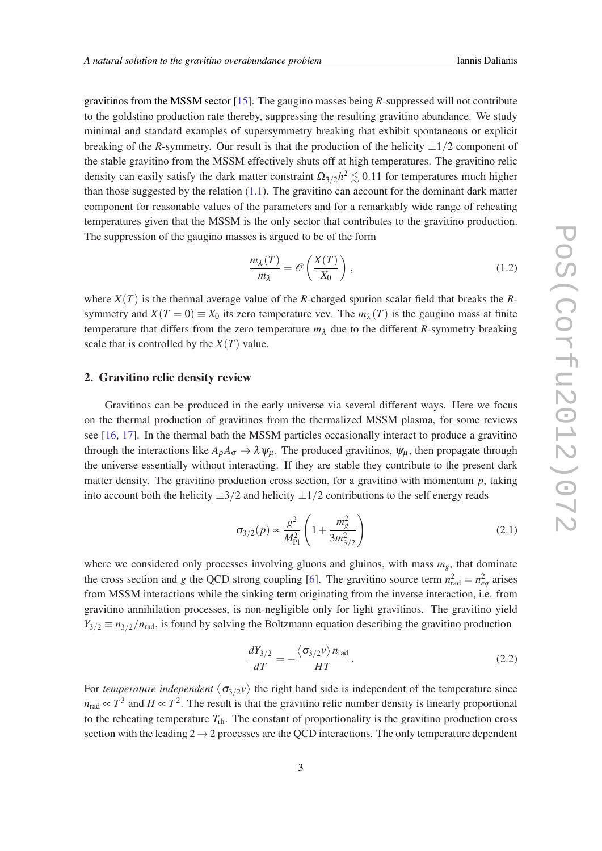<span id="page-2-0"></span>gravitinos from the MSSM sector [\[15](#page-12-0)]. The gaugino masses being *R*-suppressed will not contribute to the goldstino production rate thereby, suppressing the resulting gravitino abundance. We study minimal and standard examples of supersymmetry breaking that exhibit spontaneous or explicit breaking of the *R*-symmetry. Our result is that the production of the helicity  $\pm 1/2$  component of the stable gravitino from the MSSM effectively shuts off at high temperatures. The gravitino relic density can easily satisfy the dark matter constraint  $\Omega_{3/2} h^2 \lesssim 0.11$  for temperatures much higher than those suggested by the relation [\(1.1\)](#page-1-0). The gravitino can account for the dominant dark matter component for reasonable values of the parameters and for a remarkably wide range of reheating temperatures given that the MSSM is the only sector that contributes to the gravitino production. The suppression of the gaugino masses is argued to be of the form

$$
\frac{m_{\lambda}(T)}{m_{\lambda}} = \mathcal{O}\left(\frac{X(T)}{X_0}\right),\tag{1.2}
$$

where  $X(T)$  is the thermal average value of the *R*-charged spurion scalar field that breaks the *R*symmetry and  $X(T = 0) \equiv X_0$  its zero temperature vev. The  $m_\lambda(T)$  is the gaugino mass at finite temperature that differs from the zero temperature  $m<sub>\lambda</sub>$  due to the different *R*-symmetry breaking scale that is controlled by the  $X(T)$  value.

#### 2. Gravitino relic density review

Gravitinos can be produced in the early universe via several different ways. Here we focus on the thermal production of gravitinos from the thermalized MSSM plasma, for some reviews see [\[16,](#page-12-0) [17\]](#page-12-0). In the thermal bath the MSSM particles occasionally interact to produce a gravitino through the interactions like  $A_0A_\sigma \to \lambda \psi_\mu$ . The produced gravitinos,  $\psi_\mu$ , then propagate through the universe essentially without interacting. If they are stable they contribute to the present dark matter density. The gravitino production cross section, for a gravitino with momentum  $p$ , taking into account both the helicity  $\pm 3/2$  and helicity  $\pm 1/2$  contributions to the self energy reads

$$
\sigma_{3/2}(p) \propto \frac{g^2}{M_{\rm Pl}^2} \left( 1 + \frac{m_{\tilde{g}}^2}{3m_{3/2}^2} \right) \tag{2.1}
$$

where we considered only processes involving gluons and gluinos, with mass  $m_{\tilde{g}}$ , that dominate the cross section and *g* the QCD strong coupling [[6](#page-11-0)]. The gravitino source term  $n_{\text{rad}}^2 = n_{eq}^2$  arises from MSSM interactions while the sinking term originating from the inverse interaction, i.e. from gravitino annihilation processes, is non-negligible only for light gravitinos. The gravitino yield  $Y_{3/2} \equiv n_{3/2}/n_{\text{rad}}$ , is found by solving the Boltzmann equation describing the gravitino production

$$
\frac{dY_{3/2}}{dT} = -\frac{\langle \sigma_{3/2} \nu \rangle n_{\text{rad}}}{HT} \,. \tag{2.2}
$$

For *temperature independent*  $\langle \sigma_{3/2} v \rangle$  the right hand side is independent of the temperature since  $n_{\text{rad}} \propto T^3$  and  $H \propto T^2$ . The result is that the gravitino relic number density is linearly proportional to the reheating temperature  $T_{\text{rh}}$ . The constant of proportionality is the gravitino production cross section with the leading  $2 \rightarrow 2$  processes are the QCD interactions. The only temperature dependent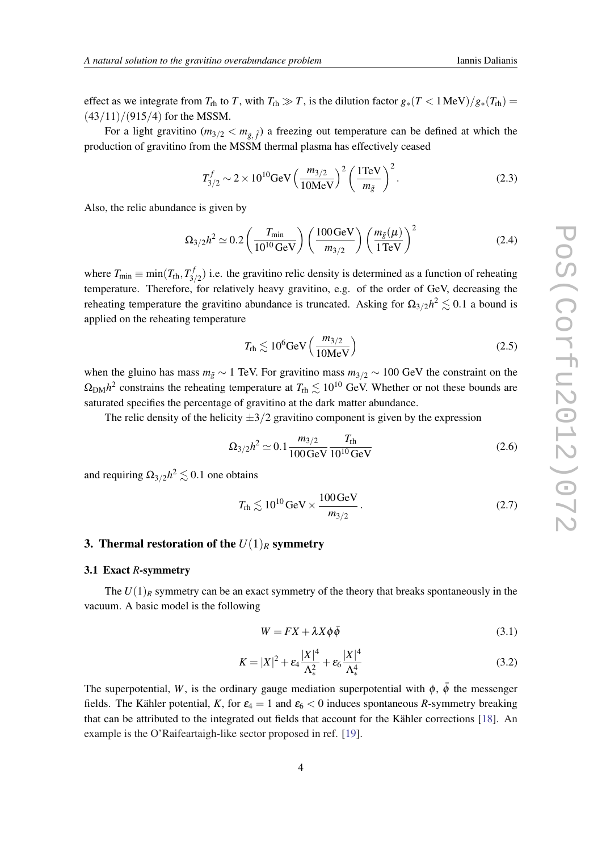<span id="page-3-0"></span>effect as we integrate from  $T_{\text{rh}}$  to *T*, with  $T_{\text{rh}} \gg T$ , is the dilution factor  $g_*(T < 1 \text{ MeV})/g_*(T_{\text{rh}}) =$  $(43/11)/(915/4)$  for the MSSM.

For a light gravitino  $(m_{3/2} < m_{\tilde{g}, \tilde{f}})$  a freezing out temperature can be defined at which the production of gravitino from the MSSM thermal plasma has effectively ceased

$$
T_{3/2}^{f} \sim 2 \times 10^{10} \text{GeV} \left(\frac{m_{3/2}}{10 \text{MeV}}\right)^{2} \left(\frac{1 \text{TeV}}{m_{\tilde{g}}}\right)^{2}.
$$
 (2.3)

Also, the relic abundance is given by

$$
\Omega_{3/2} h^2 \simeq 0.2 \left( \frac{T_{\text{min}}}{10^{10} \text{ GeV}} \right) \left( \frac{100 \text{ GeV}}{m_{3/2}} \right) \left( \frac{m_{\tilde{g}}(\mu)}{1 \text{ TeV}} \right)^2 \tag{2.4}
$$

where  $T_{\min} \equiv \min(T_{\text{rh}}, T_{3}^{f})$  $\binom{5}{3/2}$  i.e. the gravitino relic density is determined as a function of reheating temperature. Therefore, for relatively heavy gravitino, e.g. of the order of GeV, decreasing the reheating temperature the gravitino abundance is truncated. Asking for  $\Omega_{3/2} h^2 \lesssim 0.1$  a bound is applied on the reheating temperature

$$
T_{\rm rh} \lesssim 10^6 \text{GeV} \left( \frac{m_{3/2}}{10 \text{MeV}} \right) \tag{2.5}
$$

when the gluino has mass  $m_{\tilde{g}} \sim 1$  TeV. For gravitino mass  $m_{3/2} \sim 100$  GeV the constraint on the  $\Omega_{\text{DM}} h^2$  constrains the reheating temperature at  $T_{\text{rh}} \lesssim 10^{10}$  GeV. Whether or not these bounds are saturated specifies the percentage of gravitino at the dark matter abundance.

The relic density of the helicity  $\pm 3/2$  gravitino component is given by the expression

$$
\Omega_{3/2}h^2 \simeq 0.1 \frac{m_{3/2}}{100 \,\text{GeV}} \frac{T_{\text{rh}}}{10^{10} \,\text{GeV}} \tag{2.6}
$$

and requiring  $\Omega_{3/2} h^2 \lesssim 0.1$  one obtains

$$
T_{\rm rh} \lesssim 10^{10} \,\mathrm{GeV} \times \frac{100 \,\mathrm{GeV}}{m_{3/2}}\,. \tag{2.7}
$$

# 3. Thermal restoration of the  $U(1)_R$  symmetry

### 3.1 Exact *R*-symmetry

The  $U(1)_R$  symmetry can be an exact symmetry of the theory that breaks spontaneously in the vacuum. A basic model is the following

$$
W = FX + \lambda X \phi \bar{\phi} \tag{3.1}
$$

$$
K = |X|^2 + \varepsilon_4 \frac{|X|^4}{\Lambda_*^2} + \varepsilon_6 \frac{|X|^4}{\Lambda_*^4}
$$
 (3.2)

The superpotential, *W*, is the ordinary gauge mediation superpotential with  $\phi$ ,  $\bar{\phi}$  the messenger fields. The Kähler potential, *K*, for  $\varepsilon_4 = 1$  and  $\varepsilon_6 < 0$  induces spontaneous *R*-symmetry breaking that can be attributed to the integrated out fields that account for the Kähler corrections [\[18](#page-12-0)]. An example is the O'Raifeartaigh-like sector proposed in ref. [[19](#page-12-0)].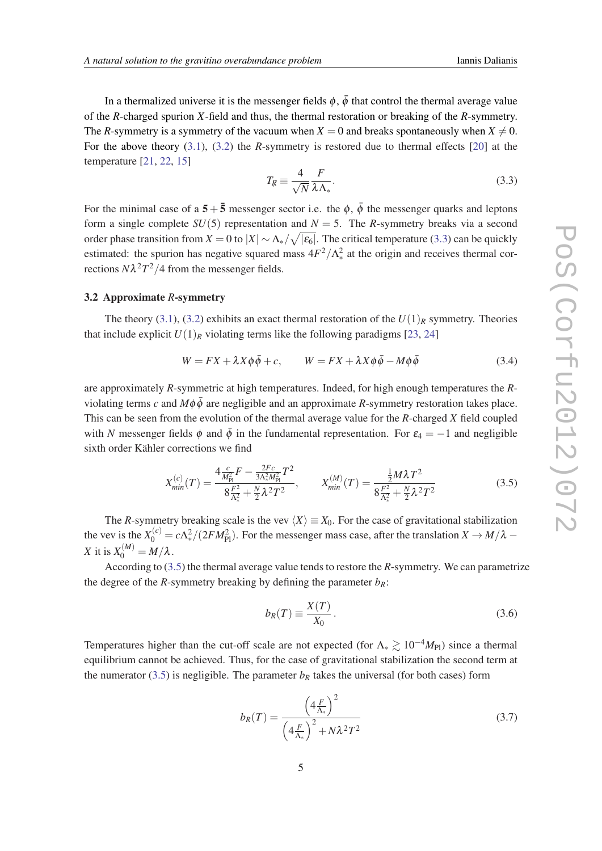<span id="page-4-0"></span>In a thermalized universe it is the messenger fields  $\phi$ ,  $\bar{\phi}$  that control the thermal average value of the *R*-charged spurion *X*-field and thus, the thermal restoration or breaking of the *R*-symmetry. The *R*-symmetry is a symmetry of the vacuum when  $X = 0$  and breaks spontaneously when  $X \neq 0$ . For the above theory [\(3.1](#page-3-0)), ([3.2](#page-3-0)) the *R*-symmetry is restored due to thermal effects [[20\]](#page-12-0) at the temperature [[21,](#page-12-0) [22](#page-12-0), [15](#page-12-0)]

$$
T_{\mathcal{R}} \equiv \frac{4}{\sqrt{N}} \frac{F}{\lambda \Lambda_*}.
$$
\n(3.3)

For the minimal case of a  $5+\overline{5}$  messenger sector i.e. the  $\phi$ ,  $\overline{\phi}$  the messenger quarks and leptons form a single complete  $SU(5)$  representation and  $N = 5$ . The *R*-symmetry breaks via a second order phase transition from  $X = 0$  to  $|X| \sim \Lambda_* / \sqrt{|\varepsilon_6|}$ . The critical temperature (3.3) can be quickly estimated: the spurion has negative squared mass  $4F^2/\Lambda_*^2$  at the origin and receives thermal corrections  $N\lambda^2T^2/4$  from the messenger fields.

## 3.2 Approximate *R*-symmetry

The theory ([3.1](#page-3-0)), [\(3.2\)](#page-3-0) exhibits an exact thermal restoration of the  $U(1)_R$  symmetry. Theories that include explicit  $U(1)_R$  violating terms like the following paradigms [\[23](#page-12-0), [24](#page-12-0)]

$$
W = FX + \lambda X \phi \bar{\phi} + c, \qquad W = FX + \lambda X \phi \bar{\phi} - M\phi \bar{\phi}
$$
 (3.4)

are approximately *R*-symmetric at high temperatures. Indeed, for high enough temperatures the *R*violating terms *c* and  $M\phi\bar{\phi}$  are negligible and an approximate *R*-symmetry restoration takes place. This can be seen from the evolution of the thermal average value for the *R*-charged *X* field coupled with *N* messenger fields  $\phi$  and  $\bar{\phi}$  in the fundamental representation. For  $\varepsilon_4 = -1$  and negligible sixth order Kähler corrections we find

$$
X_{min}^{(c)}(T) = \frac{4\frac{c}{M_{\text{Pl}}^2}F - \frac{2Fc}{3\Lambda_*^2M_{\text{Pl}}^2}T^2}{8\frac{F^2}{\Lambda_*^2} + \frac{N}{2}\lambda^2T^2}, \qquad X_{min}^{(M)}(T) = \frac{\frac{1}{2}M\lambda T^2}{8\frac{F^2}{\Lambda_*^2} + \frac{N}{2}\lambda^2T^2}
$$
(3.5)

The *R*-symmetry breaking scale is the vev  $\langle X \rangle \equiv X_0$ . For the case of gravitational stabilization the vev is the  $X_0^{(c)} = c\Lambda_*^2/(2FM_{\rm Pl}^2)$ . For the messenger mass case, after the translation  $X \to M/\lambda$  – *X* it is  $X_0^{(M)} = M/\lambda$ .

According to (3.5) the thermal average value tends to restore the *R*-symmetry. We can parametrize the degree of the *R*-symmetry breaking by defining the parameter  $b_R$ :

$$
b_R(T) \equiv \frac{X(T)}{X_0}.
$$
\n(3.6)

Temperatures higher than the cut-off scale are not expected (for  $\Lambda_* \gtrsim 10^{-4} M_{Pl}$ ) since a thermal equilibrium cannot be achieved. Thus, for the case of gravitational stabilization the second term at the numerator (3.5) is negligible. The parameter  $b_R$  takes the universal (for both cases) form

$$
b_R(T) = \frac{\left(4\frac{F}{\Lambda_*}\right)^2}{\left(4\frac{F}{\Lambda_*}\right)^2 + N\lambda^2 T^2}
$$
\n(3.7)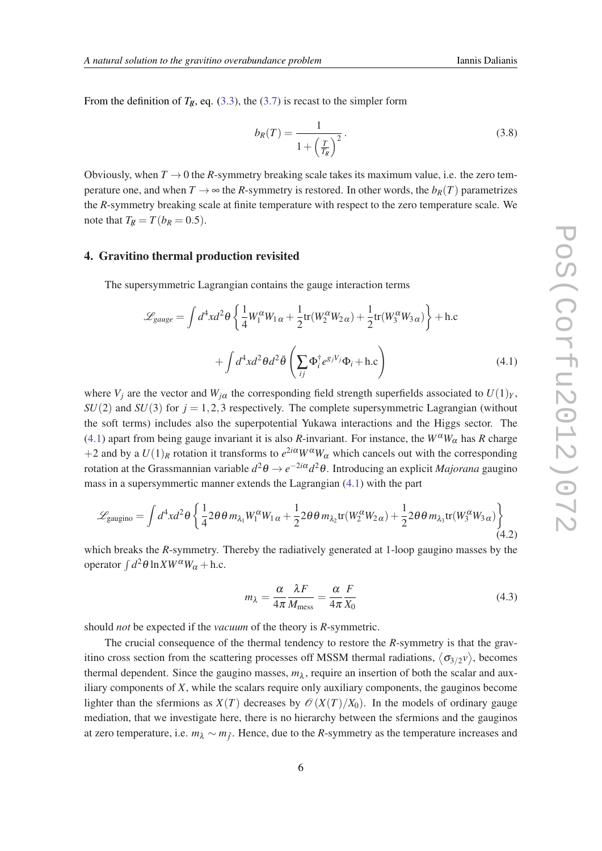From the definition of  $T_{\rm R}$ , eq. [\(3.3\)](#page-4-0), the ([3.7](#page-4-0)) is recast to the simpler form

$$
b_R(T) = \frac{1}{1 + \left(\frac{T}{T_R}\right)^2}.
$$
\n
$$
(3.8)
$$

Obviously, when  $T \rightarrow 0$  the *R*-symmetry breaking scale takes its maximum value, i.e. the zero temperature one, and when  $T \to \infty$  the *R*-symmetry is restored. In other words, the  $b_R(T)$  parametrizes the *R*-symmetry breaking scale at finite temperature with respect to the zero temperature scale. We note that  $T_R = T(b_R = 0.5)$ .

#### 4. Gravitino thermal production revisited

The supersymmetric Lagrangian contains the gauge interaction terms

$$
\mathcal{L}_{gauge} = \int d^4x d^2\theta \left\{ \frac{1}{4} W_1^{\alpha} W_{1\alpha} + \frac{1}{2} \text{tr}(W_2^{\alpha} W_{2\alpha}) + \frac{1}{2} \text{tr}(W_3^{\alpha} W_{3\alpha}) \right\} + \text{h.c}
$$

$$
+ \int d^4x d^2\theta d^2\bar{\theta} \left( \sum_{ij} \Phi_i^{\dagger} e^{g_j V_j} \Phi_i + \text{h.c} \right) \tag{4.1}
$$

where  $V_i$  are the vector and  $W_{i\alpha}$  the corresponding field strength superfields associated to  $U(1)_Y$ ,  $SU(2)$  and  $SU(3)$  for  $j = 1,2,3$  respectively. The complete supersymmetric Lagrangian (without the soft terms) includes also the superpotential Yukawa interactions and the Higgs sector. The (4.1) apart from being gauge invariant it is also *R*-invariant. For instance, the  $W^{\alpha}W_{\alpha}$  has *R* charge +2 and by a  $U(1)_R$  rotation it transforms to  $e^{2i\alpha}W^{\alpha}W_{\alpha}$  which cancels out with the corresponding rotation at the Grassmannian variable *d* <sup>2</sup>θ → *e* <sup>−</sup>2*i*α*d* <sup>2</sup>θ. Introducing an explicit *Majorana* gaugino mass in a supersymmertic manner extends the Lagrangian (4.1) with the part

$$
\mathcal{L}_{\text{gaugino}} = \int d^4x d^2\theta \left\{ \frac{1}{4} 2\theta \theta m_{\lambda_1} W_1^{\alpha} W_{1\alpha} + \frac{1}{2} 2\theta \theta m_{\lambda_2} \text{tr}(W_2^{\alpha} W_{2\alpha}) + \frac{1}{2} 2\theta \theta m_{\lambda_3} \text{tr}(W_3^{\alpha} W_{3\alpha}) \right\} \tag{4.2}
$$

which breaks the *R*-symmetry. Thereby the radiatively generated at 1-loop gaugino masses by the operator  $\int d^2\theta \ln X W^{\alpha} W_{\alpha} + \text{h.c.}$ 

$$
m_{\lambda} = \frac{\alpha}{4\pi} \frac{\lambda F}{M_{\text{mess}}} = \frac{\alpha}{4\pi} \frac{F}{X_0}
$$
(4.3)

should *not* be expected if the *vacuum* of the theory is *R*-symmetric.

The crucial consequence of the thermal tendency to restore the *R*-symmetry is that the gravitino cross section from the scattering processes off MSSM thermal radiations,  $\langle \sigma_{3/2} v \rangle$ , becomes thermal dependent. Since the gaugino masses,  $m_{\lambda}$ , require an insertion of both the scalar and auxiliary components of *X*, while the scalars require only auxiliary components, the gauginos become lighter than the sfermions as  $X(T)$  decreases by  $\mathcal{O}(X(T)/X_0)$ . In the models of ordinary gauge mediation, that we investigate here, there is no hierarchy between the sfermions and the gauginos at zero temperature, i.e. *m*<sub>λ</sub> ∼ *m*<sub>*j*</sub><sup>2</sup>. Hence, due to the *R*-symmetry as the temperature increases and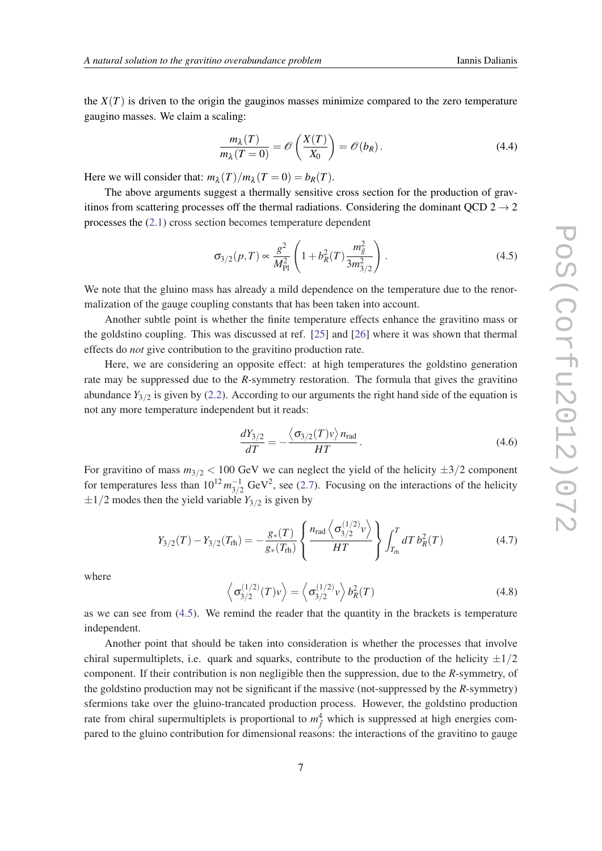<span id="page-6-0"></span>the  $X(T)$  is driven to the origin the gauginos masses minimize compared to the zero temperature gaugino masses. We claim a scaling:

$$
\frac{m_{\lambda}(T)}{m_{\lambda}(T=0)} = \mathcal{O}\left(\frac{X(T)}{X_0}\right) = \mathcal{O}(b_R). \tag{4.4}
$$

Here we will consider that:  $m_{\lambda}(T)/m_{\lambda}(T=0) = b_R(T)$ .

The above arguments suggest a thermally sensitive cross section for the production of gravitinos from scattering processes off the thermal radiations. Considering the dominant QCD  $2 \rightarrow 2$ processes the ([2.1](#page-2-0)) cross section becomes temperature dependent

$$
\sigma_{3/2}(p,T) \propto \frac{g^2}{M_{\rm Pl}^2} \left( 1 + b_R^2(T) \frac{m_{\tilde{g}}^2}{3m_{3/2}^2} \right). \tag{4.5}
$$

We note that the gluino mass has already a mild dependence on the temperature due to the renormalization of the gauge coupling constants that has been taken into account.

Another subtle point is whether the finite temperature effects enhance the gravitino mass or the goldstino coupling. This was discussed at ref. [[25\]](#page-12-0) and [\[26\]](#page-12-0) where it was shown that thermal effects do *not* give contribution to the gravitino production rate.

Here, we are considering an opposite effect: at high temperatures the goldstino generation rate may be suppressed due to the *R*-symmetry restoration. The formula that gives the gravitino abundance  $Y_{3/2}$  is given by ([2.2](#page-2-0)). According to our arguments the right hand side of the equation is not any more temperature independent but it reads:

$$
\frac{dY_{3/2}}{dT} = -\frac{\langle \sigma_{3/2}(T)v \rangle n_{\text{rad}}}{HT}.
$$
\n(4.6)

For gravitino of mass  $m_{3/2}$  < 100 GeV we can neglect the yield of the helicity  $\pm 3/2$  component for temperatures less than  $10^{12} m_{3/2}^{-1}$  GeV<sup>2</sup>, see [\(2.7\)](#page-3-0). Focusing on the interactions of the helicity  $\pm 1/2$  modes then the yield variable  $Y_{3/2}$  is given by

$$
Y_{3/2}(T) - Y_{3/2}(T_{\rm rh}) = -\frac{g_*(T)}{g_*(T_{\rm rh})} \left\{ \frac{n_{\rm rad} \left\langle \sigma_{3/2}^{(1/2)} v \right\rangle}{HT} \right\} \int_{T_{\rm rh}}^T dT \, b_R^2(T) \tag{4.7}
$$

where

$$
\left\langle \sigma_{3/2}^{(1/2)}(T)v \right\rangle = \left\langle \sigma_{3/2}^{(1/2)}v \right\rangle b_R^2(T) \tag{4.8}
$$

as we can see from (4.5). We remind the reader that the quantity in the brackets is temperature independent.

Another point that should be taken into consideration is whether the processes that involve chiral supermultiplets, i.e. quark and squarks, contribute to the production of the helicity  $\pm 1/2$ component. If their contribution is non negligible then the suppression, due to the *R*-symmetry, of the goldstino production may not be significant if the massive (not-suppressed by the *R*-symmetry) sfermions take over the gluino-trancated production process. However, the goldstino production rate from chiral supermultiplets is proportional to  $m_{\tilde{f}}^4$  which is suppressed at high energies compared to the gluino contribution for dimensional reasons: the interactions of the gravitino to gauge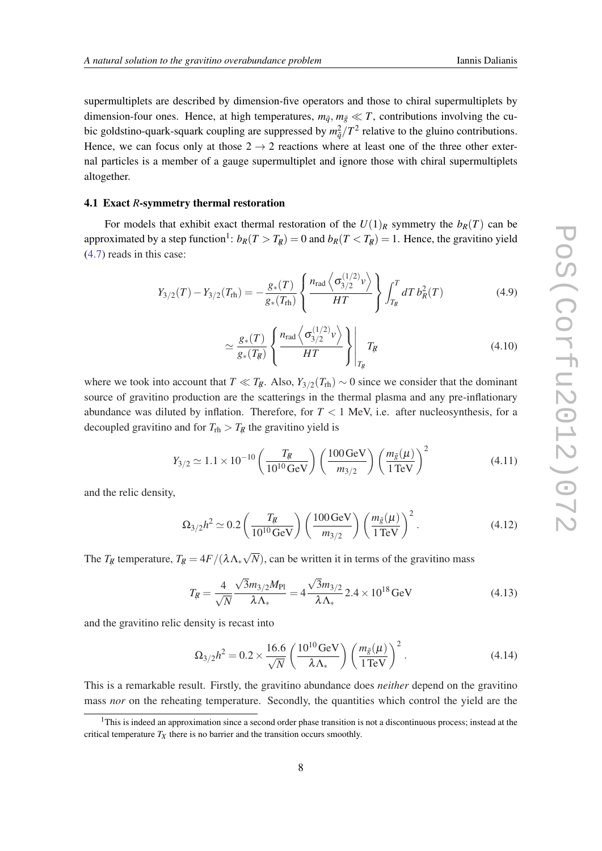<span id="page-7-0"></span>supermultiplets are described by dimension-five operators and those to chiral supermultiplets by dimension-four ones. Hence, at high temperatures,  $m_{\tilde{q}}$ ,  $m_{\tilde{g}} \ll T$ , contributions involving the cubic goldstino-quark-squark coupling are suppressed by  $m_{\tilde{q}}^2/T^2$  relative to the gluino contributions. Hence, we can focus only at those  $2 \rightarrow 2$  reactions where at least one of the three other external particles is a member of a gauge supermultiplet and ignore those with chiral supermultiplets altogether.

# 4.1 Exact *R*-symmetry thermal restoration

For models that exhibit exact thermal restoration of the  $U(1)_R$  symmetry the  $b_R(T)$  can be approximated by a step function<sup>1</sup>:  $b_R(T > T_R) = 0$  and  $b_R(T < T_R) = 1$ . Hence, the gravitino yield ([4.7\)](#page-6-0) reads in this case:

$$
Y_{3/2}(T) - Y_{3/2}(T_{\rm rh}) = -\frac{g_*(T)}{g_*(T_{\rm rh})} \left\{ \frac{n_{\rm rad} \left\langle \sigma_{3/2}^{(1/2)} v \right\rangle}{HT} \right\} \int_{T_{\rm g}}^T dT \, b_R^2(T) \tag{4.9}
$$

$$
\simeq \frac{g_*(T)}{g_*(T_R)} \left\{ \frac{n_{\text{rad}} \left\langle \sigma_{3/2}^{(1/2)} v \right\rangle}{HT} \right\} \Bigg|_{T_R} T_R \tag{4.10}
$$

where we took into account that  $T \ll T_{\mathcal{R}}$ . Also,  $Y_{3/2}(T_{\text{rh}}) \sim 0$  since we consider that the dominant source of gravitino production are the scatterings in the thermal plasma and any pre-inflationary abundance was diluted by inflation. Therefore, for  $T < 1$  MeV, i.e. after nucleosynthesis, for a decoupled gravitino and for  $T_{\text{rh}} > T_R$  the gravitino yield is

$$
Y_{3/2} \simeq 1.1 \times 10^{-10} \left( \frac{T_R}{10^{10} \,\text{GeV}} \right) \left( \frac{100 \,\text{GeV}}{m_{3/2}} \right) \left( \frac{m_{\tilde{g}}(\mu)}{1 \,\text{TeV}} \right)^2 \tag{4.11}
$$

and the relic density,

$$
\Omega_{3/2} h^2 \simeq 0.2 \left( \frac{T_R}{10^{10} \text{ GeV}} \right) \left( \frac{100 \text{ GeV}}{m_{3/2}} \right) \left( \frac{m_{\tilde{g}}(\mu)}{1 \text{ TeV}} \right)^2.
$$
 (4.12)

The  $T_R$  temperature,  $T_R = 4F/(\lambda \Lambda_{*})$ √ *N*), can be written it in terms of the gravitino mass

$$
T_{\mathcal{R}} = \frac{4}{\sqrt{N}} \frac{\sqrt{3}m_{3/2}M_{\text{Pl}}}{\lambda \Lambda_*} = 4 \frac{\sqrt{3}m_{3/2}}{\lambda \Lambda_*} 2.4 \times 10^{18} \,\text{GeV}
$$
 (4.13)

and the gravitino relic density is recast into

$$
\Omega_{3/2}h^2 = 0.2 \times \frac{16.6}{\sqrt{N}} \left( \frac{10^{10} \text{GeV}}{\lambda \Lambda_*} \right) \left( \frac{m_{\tilde{g}}(\mu)}{1 \text{TeV}} \right)^2.
$$
 (4.14)

This is a remarkable result. Firstly, the gravitino abundance does *neither* depend on the gravitino mass *nor* on the reheating temperature. Secondly, the quantities which control the yield are the

<sup>&</sup>lt;sup>1</sup>This is indeed an approximation since a second order phase transition is not a discontinuous process; instead at the critical temperature  $T_X$  there is no barrier and the transition occurs smoothly.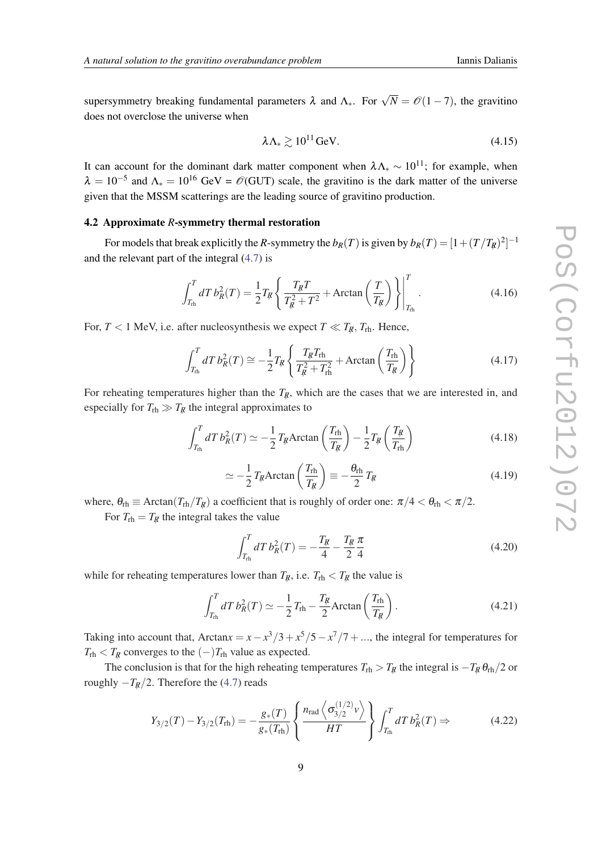supersymmetry breaking fundamental parameters  $\lambda$  and  $\Lambda_*$ . For  $\sqrt{N} = \mathcal{O}(1-7)$ , the gravitino does not overclose the universe when

$$
\lambda \Lambda_* \gtrsim 10^{11} \,\text{GeV}.\tag{4.15}
$$

It can account for the dominant dark matter component when  $\lambda \Lambda_{*} \sim 10^{11}$ ; for example, when  $\lambda = 10^{-5}$  and  $\Lambda_* = 10^{16}$  GeV =  $\mathcal{O}(\text{GUT})$  scale, the gravitino is the dark matter of the universe given that the MSSM scatterings are the leading source of gravitino production.

### 4.2 Approximate *R*-symmetry thermal restoration

For models that break explicitly the *R*-symmetry the  $b_R(T)$  is given by  $b_R(T) = [1 + (T/T_R)^2]^{-1}$ and the relevant part of the integral [\(4.7\)](#page-6-0) is

$$
\int_{T_{\rm rh}}^T dT \, b_R^2(T) = \frac{1}{2} T_R \left\{ \frac{T_R T}{T_R^2 + T^2} + \text{Arctan}\left(\frac{T}{T_R}\right) \right\} \Big|_{T_{\rm rh}}^T. \tag{4.16}
$$

For,  $T < 1$  MeV, i.e. after nucleosynthesis we expect  $T \ll T_R$ ,  $T_{\text{rh}}$ . Hence,

$$
\int_{T_{\text{rh}}}^{T} dT \, b_R^2(T) \cong -\frac{1}{2} T_{\text{fl}} \left\{ \frac{T_{\text{fl}} T_{\text{rh}}}{T_{\text{fl}}^2 + T_{\text{rh}}^2} + \text{Arctan}\left(\frac{T_{\text{rh}}}{T_{\text{fl}}}\right) \right\} \tag{4.17}
$$

For reheating temperatures higher than the  $T_{\rm f}$ , which are the cases that we are interested in, and especially for  $T_{\text{rh}} \gg T_R$  the integral approximates to

$$
\int_{T_{\text{rh}}}^{T} dT \, b_R^2(T) \simeq -\frac{1}{2} T_{\text{fl}} \text{Arctan}\left(\frac{T_{\text{rh}}}{T_{\text{fl}}}\right) - \frac{1}{2} T_{\text{fl}}\left(\frac{T_{\text{fl}}}{T_{\text{rh}}}\right) \tag{4.18}
$$

$$
\simeq -\frac{1}{2}T_{\mathcal{R}} \text{Arctan}\left(\frac{T_{\text{rh}}}{T_{\mathcal{R}}}\right) \equiv -\frac{\theta_{\text{rh}}}{2}T_{\mathcal{R}}
$$
\n(4.19)

where,  $\theta_{\rm rh} \equiv \text{Arctan}(T_{\rm rh}/T_R)$  a coefficient that is roughly of order one:  $\pi/4 < \theta_{\rm rh} < \pi/2$ .

For  $T_{\text{rh}} = T_R$  the integral takes the value

$$
\int_{T_{\text{th}}}^{T} dT \, b_R^2(T) = -\frac{T_R}{4} - \frac{T_R}{2} \frac{\pi}{4} \tag{4.20}
$$

while for reheating temperatures lower than  $T_R$ , i.e.  $T_{\text{rh}} < T_R$  the value is

$$
\int_{T_{\text{rh}}}^{T} dT \, b_R^2(T) \simeq -\frac{1}{2} T_{\text{rh}} - \frac{T_R}{2} \text{Arctan}\left(\frac{T_{\text{rh}}}{T_R}\right). \tag{4.21}
$$

Taking into account that, Arctan $x = x - x^3/3 + x^5/5 - x^7/7 + \ldots$ , the integral for temperatures for  $T_{\text{rh}} < T_R$  converges to the  $(-)T_{\text{rh}}$  value as expected.

The conclusion is that for the high reheating temperatures  $T_{\text{rh}} > T_R$  the integral is  $-T_R \theta_{\text{rh}}/2$  or roughly  $-T_R/2$ . Therefore the ([4.7](#page-6-0)) reads

$$
Y_{3/2}(T) - Y_{3/2}(T_{\rm rh}) = -\frac{g_*(T)}{g_*(T_{\rm rh})} \left\{ \frac{n_{\rm rad} \left\langle \sigma_{3/2}^{(1/2)} v \right\rangle}{HT} \right\} \int_{T_{\rm rh}}^T dT \, b_R^2(T) \Rightarrow \tag{4.22}
$$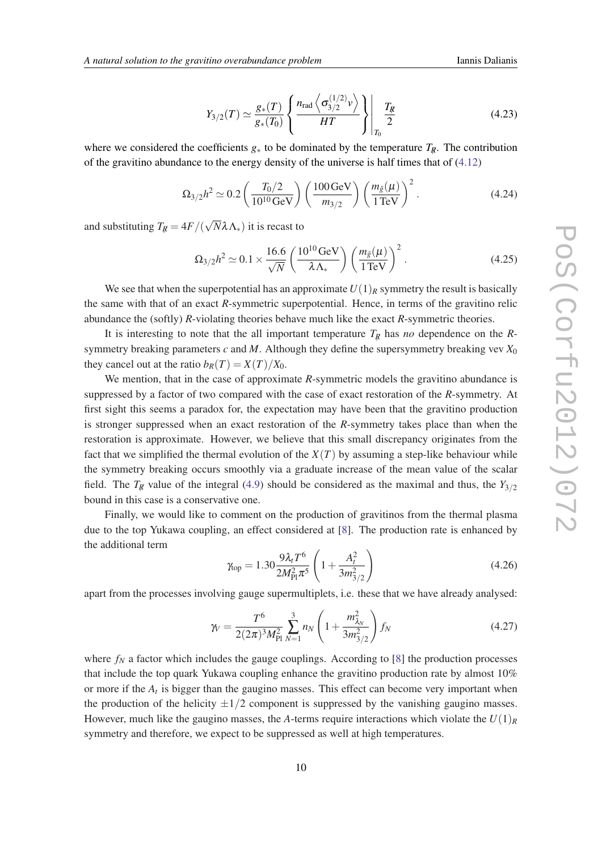$$
Y_{3/2}(T) \simeq \frac{g_*(T)}{g_*(T_0)} \left\{ \frac{n_{\text{rad}} \left\langle \sigma_{3/2}^{(1/2)} v \right\rangle}{HT} \right\} \Bigg|_{T_0} \frac{T_R}{2} \tag{4.23}
$$

<span id="page-9-0"></span>where we considered the coefficients  $g_*$  to be dominated by the temperature  $T_{\rm R}$ . The contribution of the gravitino abundance to the energy density of the universe is half times that of ([4.12\)](#page-7-0)

$$
\Omega_{3/2} h^2 \simeq 0.2 \left( \frac{T_0/2}{10^{10} \,\text{GeV}} \right) \left( \frac{100 \,\text{GeV}}{m_{3/2}} \right) \left( \frac{m_{\tilde{g}}(\mu)}{1 \,\text{TeV}} \right)^2. \tag{4.24}
$$

and substituting  $T_{\overline{k}} = 4F/($ √ *N*λΛ∗) it is recast to

$$
\Omega_{3/2}h^2 \simeq 0.1 \times \frac{16.6}{\sqrt{N}} \left( \frac{10^{10} \text{GeV}}{\lambda \Lambda_*} \right) \left( \frac{m_{\tilde{g}}(\mu)}{1 \text{TeV}} \right)^2.
$$
 (4.25)

We see that when the superpotential has an approximate  $U(1)_R$  symmetry the result is basically the same with that of an exact *R*-symmetric superpotential. Hence, in terms of the gravitino relic abundance the (softly) *R*-violating theories behave much like the exact *R*-symmetric theories.

It is interesting to note that the all important temperature  $T_R$  has *no* dependence on the *R*symmetry breaking parameters  $c$  and  $M$ . Although they define the supersymmetry breaking vev  $X_0$ they cancel out at the ratio  $b_R(T) = X(T)/X_0$ .

We mention, that in the case of approximate *R*-symmetric models the gravitino abundance is suppressed by a factor of two compared with the case of exact restoration of the *R*-symmetry. At first sight this seems a paradox for, the expectation may have been that the gravitino production is stronger suppressed when an exact restoration of the *R*-symmetry takes place than when the restoration is approximate. However, we believe that this small discrepancy originates from the fact that we simplified the thermal evolution of the  $X(T)$  by assuming a step-like behaviour while the symmetry breaking occurs smoothly via a graduate increase of the mean value of the scalar field. The  $T_{\rm fR}$  value of the integral [\(4.9](#page-7-0)) should be considered as the maximal and thus, the  $Y_{3/2}$ bound in this case is a conservative one.

Finally, we would like to comment on the production of gravitinos from the thermal plasma due to the top Yukawa coupling, an effect considered at [\[8\]](#page-11-0). The production rate is enhanced by the additional term

$$
\gamma_{\rm top} = 1.30 \frac{9\lambda_t T^6}{2M_{\rm Pl}^2 \pi^5} \left( 1 + \frac{A_t^2}{3m_{3/2}^2} \right) \tag{4.26}
$$

apart from the processes involving gauge supermultiplets, i.e. these that we have already analysed:

$$
\gamma_V = \frac{T^6}{2(2\pi)^3 M_{\text{Pl}}^2} \sum_{N=1}^3 n_N \left(1 + \frac{m_{\lambda_N}^2}{3m_{3/2}^2}\right) f_N \tag{4.27}
$$

where  $f_N$  a factor which includes the gauge couplings. According to [\[8\]](#page-11-0) the production processes that include the top quark Yukawa coupling enhance the gravitino production rate by almost 10% or more if the *A<sup>t</sup>* is bigger than the gaugino masses. This effect can become very important when the production of the helicity  $\pm 1/2$  component is suppressed by the vanishing gaugino masses. However, much like the gaugino masses, the *A*-terms require interactions which violate the  $U(1)_R$ symmetry and therefore, we expect to be suppressed as well at high temperatures.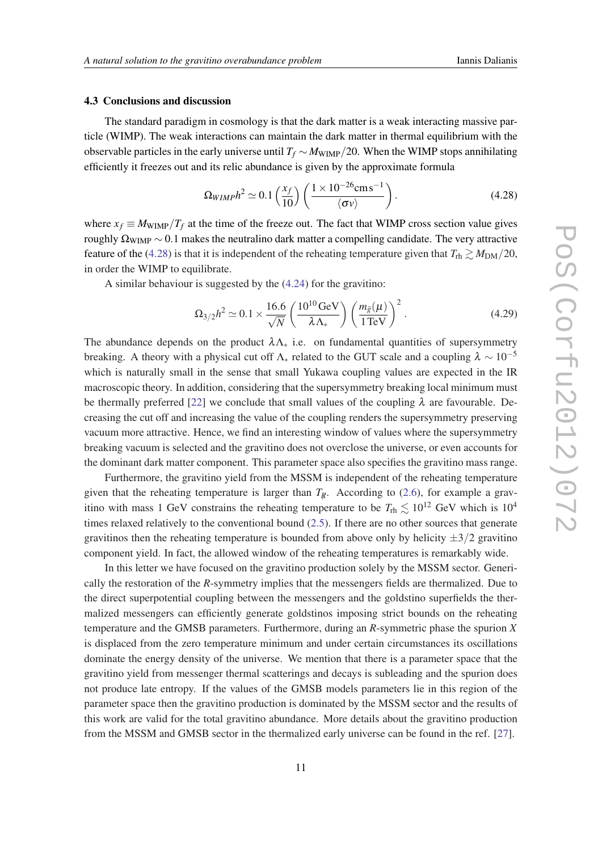#### 4.3 Conclusions and discussion

The standard paradigm in cosmology is that the dark matter is a weak interacting massive particle (WIMP). The weak interactions can maintain the dark matter in thermal equilibrium with the observable particles in the early universe until  $T_f \sim M_{\text{WIMP}}/20$ . When the WIMP stops annihilating efficiently it freezes out and its relic abundance is given by the approximate formula

$$
\Omega_{WIMP} h^2 \simeq 0.1 \left(\frac{x_f}{10}\right) \left(\frac{1 \times 10^{-26} \text{cm s}^{-1}}{\langle \sigma v \rangle}\right). \tag{4.28}
$$

where  $x_f \equiv M_{\text{WIMP}}/T_f$  at the time of the freeze out. The fact that WIMP cross section value gives roughly  $\Omega_{\text{WIMP}} \sim 0.1$  makes the neutralino dark matter a compelling candidate. The very attractive feature of the (4.28) is that it is independent of the reheating temperature given that  $T_{\text{rh}} \gtrsim M_{\text{DM}}/20$ , in order the WIMP to equilibrate.

A similar behaviour is suggested by the ([4.24\)](#page-9-0) for the gravitino:

$$
\Omega_{3/2}h^2 \simeq 0.1 \times \frac{16.6}{\sqrt{N}} \left( \frac{10^{10} \text{GeV}}{\lambda \Lambda_*} \right) \left( \frac{m_{\tilde{g}}(\mu)}{1 \text{TeV}} \right)^2.
$$
 (4.29)

The abundance depends on the product  $\lambda \Lambda_{\ast}$  i.e. on fundamental quantities of supersymmetry breaking. A theory with a physical cut off  $\Lambda_*$  related to the GUT scale and a coupling  $\lambda \sim 10^{-5}$ which is naturally small in the sense that small Yukawa coupling values are expected in the IR macroscopic theory. In addition, considering that the supersymmetry breaking local minimum must be thermally preferred [\[22](#page-12-0)] we conclude that small values of the coupling  $\lambda$  are favourable. Decreasing the cut off and increasing the value of the coupling renders the supersymmetry preserving vacuum more attractive. Hence, we find an interesting window of values where the supersymmetry breaking vacuum is selected and the gravitino does not overclose the universe, or even accounts for the dominant dark matter component. This parameter space also specifies the gravitino mass range.

Furthermore, the gravitino yield from the MSSM is independent of the reheating temperature given that the reheating temperature is larger than  $T_R$ . According to ([2.6](#page-3-0)), for example a gravitino with mass 1 GeV constrains the reheating temperature to be  $T_{\text{rh}} \lesssim 10^{12}$  GeV which is  $10^4$ times relaxed relatively to the conventional bound [\(2.5](#page-3-0)). If there are no other sources that generate gravitinos then the reheating temperature is bounded from above only by helicity  $\pm 3/2$  gravitino component yield. In fact, the allowed window of the reheating temperatures is remarkably wide.

In this letter we have focused on the gravitino production solely by the MSSM sector. Generically the restoration of the *R*-symmetry implies that the messengers fields are thermalized. Due to the direct superpotential coupling between the messengers and the goldstino superfields the thermalized messengers can efficiently generate goldstinos imposing strict bounds on the reheating temperature and the GMSB parameters. Furthermore, during an *R*-symmetric phase the spurion *X* is displaced from the zero temperature minimum and under certain circumstances its oscillations dominate the energy density of the universe. We mention that there is a parameter space that the gravitino yield from messenger thermal scatterings and decays is subleading and the spurion does not produce late entropy. If the values of the GMSB models parameters lie in this region of the parameter space then the gravitino production is dominated by the MSSM sector and the results of this work are valid for the total gravitino abundance. More details about the gravitino production from the MSSM and GMSB sector in the thermalized early universe can be found in the ref. [[27\]](#page-12-0).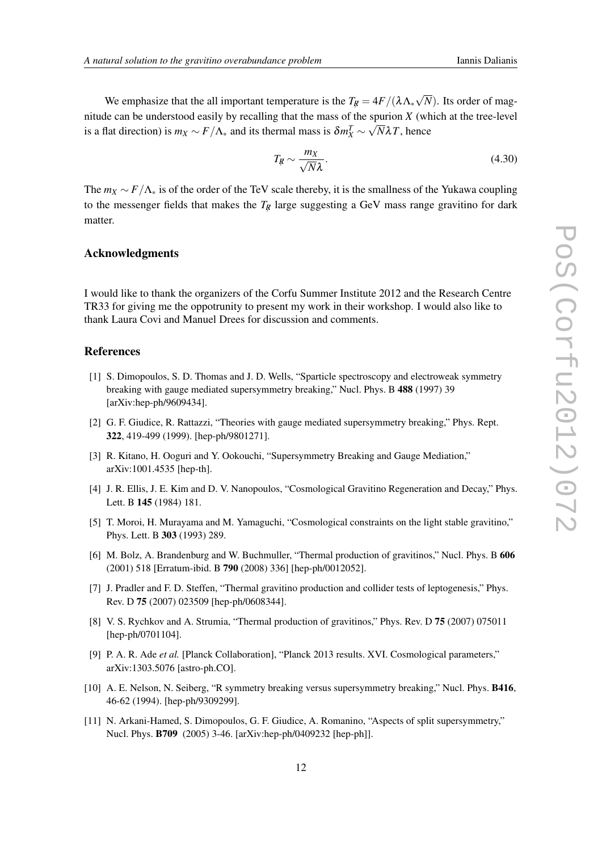<span id="page-11-0"></span>We emphasize that the all important temperature is the  $T_{\mathcal{R}} = 4F/(\lambda \Lambda_{*})$ √ *N*). Its order of magnitude can be understood easily by recalling that the mass of the spurion *X* (which at the tree-level is a flat direction) is  $m_X \sim F/\Lambda_*$  and its thermal mass is  $\delta m_X^T \sim \sqrt{N} \lambda T$ , hence

$$
T_{\mathcal{R}} \sim \frac{m_X}{\sqrt{N}\lambda}.\tag{4.30}
$$

The  $m_X \sim F/\Lambda_*$  is of the order of the TeV scale thereby, it is the smallness of the Yukawa coupling to the messenger fields that makes the  $T_R$  large suggesting a GeV mass range gravitino for dark matter.

## Acknowledgments

I would like to thank the organizers of the Corfu Summer Institute 2012 and the Research Centre TR33 for giving me the oppotrunity to present my work in their workshop. I would also like to thank Laura Covi and Manuel Drees for discussion and comments.

# References

- [1] S. Dimopoulos, S. D. Thomas and J. D. Wells, "Sparticle spectroscopy and electroweak symmetry breaking with gauge mediated supersymmetry breaking," Nucl. Phys. B 488 (1997) 39 [arXiv:hep-ph/9609434].
- [2] G. F. Giudice, R. Rattazzi, "Theories with gauge mediated supersymmetry breaking," Phys. Rept. 322, 419-499 (1999). [hep-ph/9801271].
- [3] R. Kitano, H. Ooguri and Y. Ookouchi, "Supersymmetry Breaking and Gauge Mediation," arXiv:1001.4535 [hep-th].
- [4] J. R. Ellis, J. E. Kim and D. V. Nanopoulos, "Cosmological Gravitino Regeneration and Decay," Phys. Lett. B 145 (1984) 181.
- [5] T. Moroi, H. Murayama and M. Yamaguchi, "Cosmological constraints on the light stable gravitino," Phys. Lett. B 303 (1993) 289.
- [6] M. Bolz, A. Brandenburg and W. Buchmuller, "Thermal production of gravitinos," Nucl. Phys. B 606 (2001) 518 [Erratum-ibid. B 790 (2008) 336] [hep-ph/0012052].
- [7] J. Pradler and F. D. Steffen, "Thermal gravitino production and collider tests of leptogenesis," Phys. Rev. D 75 (2007) 023509 [hep-ph/0608344].
- [8] V. S. Rychkov and A. Strumia, "Thermal production of gravitinos," Phys. Rev. D 75 (2007) 075011 [hep-ph/0701104].
- [9] P. A. R. Ade *et al.* [Planck Collaboration], "Planck 2013 results. XVI. Cosmological parameters," arXiv:1303.5076 [astro-ph.CO].
- [10] A. E. Nelson, N. Seiberg, "R symmetry breaking versus supersymmetry breaking," Nucl. Phys. B416, 46-62 (1994). [hep-ph/9309299].
- [11] N. Arkani-Hamed, S. Dimopoulos, G. F. Giudice, A. Romanino, "Aspects of split supersymmetry," Nucl. Phys. B709 (2005) 3-46. [arXiv:hep-ph/0409232 [hep-ph]].